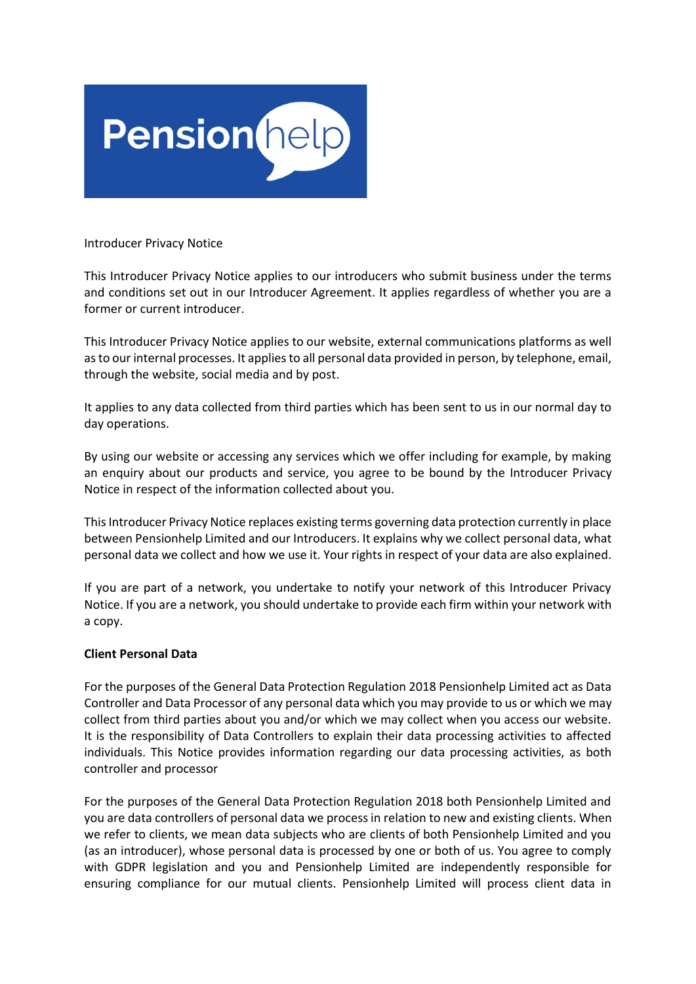

Introducer Privacy Notice

This Introducer Privacy Notice applies to our introducers who submit business under the terms and conditions set out in our Introducer Agreement. It applies regardless of whether you are a former or current introducer.

This Introducer Privacy Notice applies to our website, external communications platforms as well as to our internal processes. It applies to all personal data provided in person, by telephone, email, through the website, social media and by post.

It applies to any data collected from third parties which has been sent to us in our normal day to day operations.

By using our website or accessing any services which we offer including for example, by making an enquiry about our products and service, you agree to be bound by the Introducer Privacy Notice in respect of the information collected about you.

This Introducer Privacy Notice replaces existing terms governing data protection currently in place between Pensionhelp Limited and our Introducers. It explains why we collect personal data, what personal data we collect and how we use it. Your rights in respect of your data are also explained.

If you are part of a network, you undertake to notify your network of this Introducer Privacy Notice. If you are a network, you should undertake to provide each firm within your network with a copy.

# **Client Personal Data**

For the purposes of the General Data Protection Regulation 2018 Pensionhelp Limited act as Data Controller and Data Processor of any personal data which you may provide to us or which we may collect from third parties about you and/or which we may collect when you access our website. It is the responsibility of Data Controllers to explain their data processing activities to affected individuals. This Notice provides information regarding our data processing activities, as both controller and processor

For the purposes of the General Data Protection Regulation 2018 both Pensionhelp Limited and you are data controllers of personal data we process in relation to new and existing clients. When we refer to clients, we mean data subjects who are clients of both Pensionhelp Limited and you (as an introducer), whose personal data is processed by one or both of us. You agree to comply with GDPR legislation and you and Pensionhelp Limited are independently responsible for ensuring compliance for our mutual clients. Pensionhelp Limited will process client data in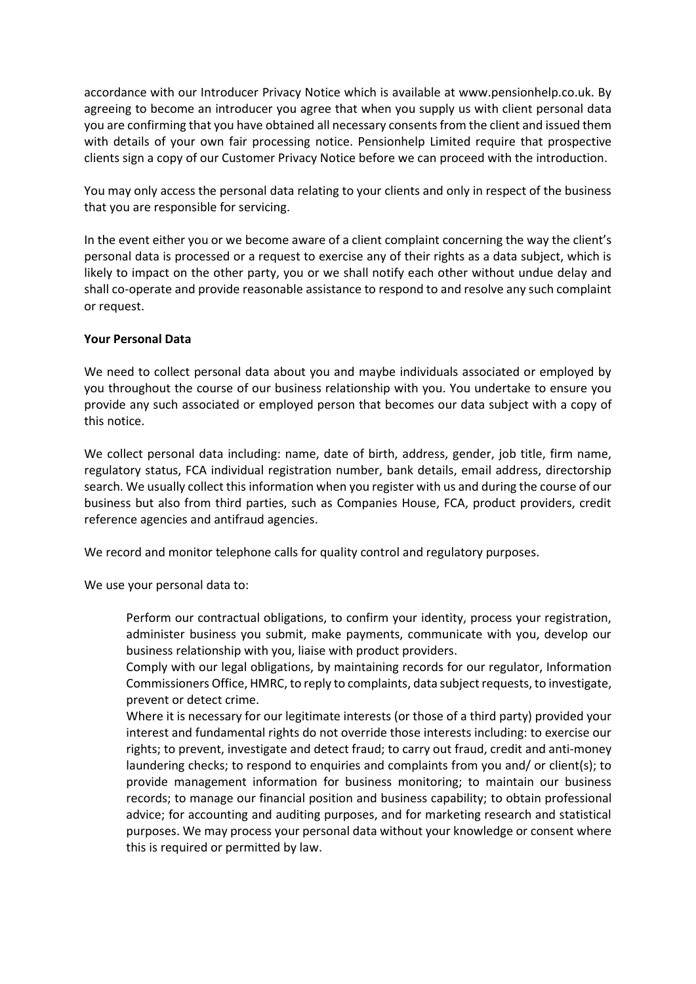accordance with our Introducer Privacy Notice which is available at www.pensionhelp.co.uk. By agreeing to become an introducer you agree that when you supply us with client personal data you are confirming that you have obtained all necessary consents from the client and issued them with details of your own fair processing notice. Pensionhelp Limited require that prospective clients sign a copy of our Customer Privacy Notice before we can proceed with the introduction.

You may only access the personal data relating to your clients and only in respect of the business that you are responsible for servicing.

In the event either you or we become aware of a client complaint concerning the way the client's personal data is processed or a request to exercise any of their rights as a data subject, which is likely to impact on the other party, you or we shall notify each other without undue delay and shall co-operate and provide reasonable assistance to respond to and resolve any such complaint or request.

# **Your Personal Data**

We need to collect personal data about you and maybe individuals associated or employed by you throughout the course of our business relationship with you. You undertake to ensure you provide any such associated or employed person that becomes our data subject with a copy of this notice.

We collect personal data including: name, date of birth, address, gender, job title, firm name, regulatory status, FCA individual registration number, bank details, email address, directorship search. We usually collect this information when you register with us and during the course of our business but also from third parties, such as Companies House, FCA, product providers, credit reference agencies and antifraud agencies.

We record and monitor telephone calls for quality control and regulatory purposes.

We use your personal data to:

Perform our contractual obligations, to confirm your identity, process your registration, administer business you submit, make payments, communicate with you, develop our business relationship with you, liaise with product providers.

Comply with our legal obligations, by maintaining records for our regulator, Information Commissioners Office, HMRC, to reply to complaints, data subject requests, to investigate, prevent or detect crime.

Where it is necessary for our legitimate interests (or those of a third party) provided your interest and fundamental rights do not override those interests including: to exercise our rights; to prevent, investigate and detect fraud; to carry out fraud, credit and anti-money laundering checks; to respond to enquiries and complaints from you and/ or client(s); to provide management information for business monitoring; to maintain our business records; to manage our financial position and business capability; to obtain professional advice; for accounting and auditing purposes, and for marketing research and statistical purposes. We may process your personal data without your knowledge or consent where this is required or permitted by law.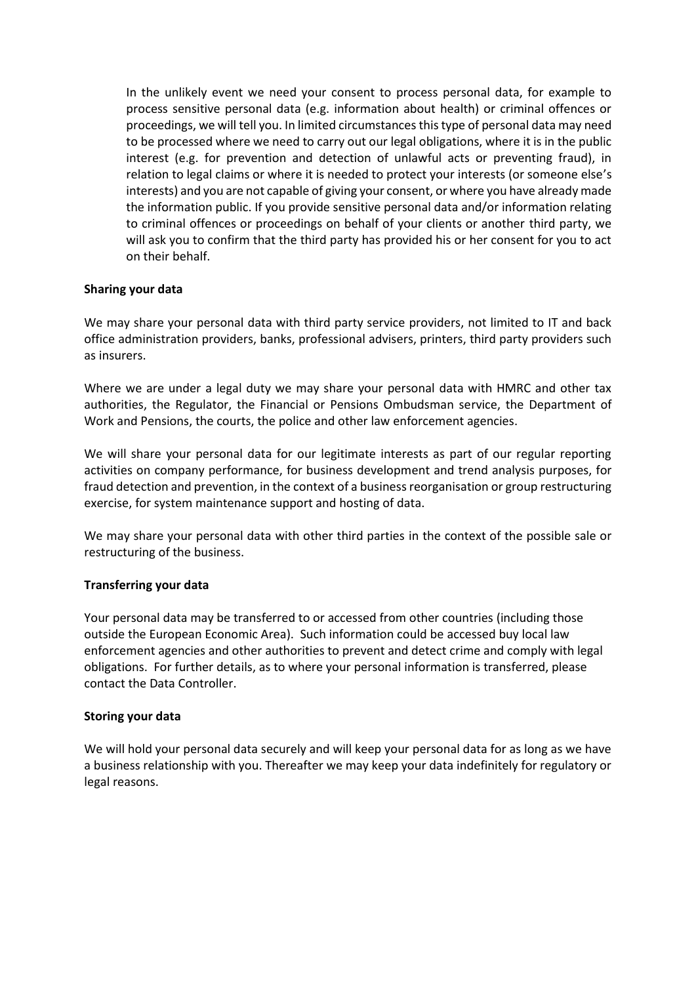In the unlikely event we need your consent to process personal data, for example to process sensitive personal data (e.g. information about health) or criminal offences or proceedings, we will tell you. In limited circumstances this type of personal data may need to be processed where we need to carry out our legal obligations, where it is in the public interest (e.g. for prevention and detection of unlawful acts or preventing fraud), in relation to legal claims or where it is needed to protect your interests (or someone else's interests) and you are not capable of giving your consent, or where you have already made the information public. If you provide sensitive personal data and/or information relating to criminal offences or proceedings on behalf of your clients or another third party, we will ask you to confirm that the third party has provided his or her consent for you to act on their behalf.

# **Sharing your data**

We may share your personal data with third party service providers, not limited to IT and back office administration providers, banks, professional advisers, printers, third party providers such as insurers.

Where we are under a legal duty we may share your personal data with HMRC and other tax authorities, the Regulator, the Financial or Pensions Ombudsman service, the Department of Work and Pensions, the courts, the police and other law enforcement agencies.

We will share your personal data for our legitimate interests as part of our regular reporting activities on company performance, for business development and trend analysis purposes, for fraud detection and prevention, in the context of a business reorganisation or group restructuring exercise, for system maintenance support and hosting of data.

We may share your personal data with other third parties in the context of the possible sale or restructuring of the business.

# **Transferring your data**

Your personal data may be transferred to or accessed from other countries (including those outside the European Economic Area). Such information could be accessed buy local law enforcement agencies and other authorities to prevent and detect crime and comply with legal obligations. For further details, as to where your personal information is transferred, please contact the Data Controller.

### **Storing your data**

We will hold your personal data securely and will keep your personal data for as long as we have a business relationship with you. Thereafter we may keep your data indefinitely for regulatory or legal reasons.